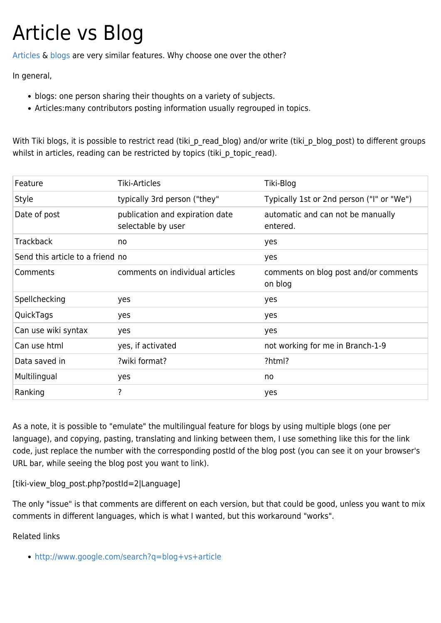## Article vs Blog

[Articles](https://tiki.org/articles) & [blogs](https://tiki.org/Blog) are very similar features. Why choose one over the other?

In general,

- blogs: one person sharing their thoughts on a variety of subjects.
- Articles:many contributors posting information usually regrouped in topics.

With Tiki blogs, it is possible to restrict read (tiki\_p\_read\_blog) and/or write (tiki\_p\_blog\_post) to different groups whilst in articles, reading can be restricted by topics (tiki p topic read).

| Feature                          | <b>Tiki-Articles</b>                                  | Tiki-Blog                                        |
|----------------------------------|-------------------------------------------------------|--------------------------------------------------|
| Style                            | typically 3rd person ("they"                          | Typically 1st or 2nd person ("I" or "We")        |
| Date of post                     | publication and expiration date<br>selectable by user | automatic and can not be manually<br>entered.    |
| <b>Trackback</b>                 | no                                                    | yes                                              |
| Send this article to a friend no |                                                       | yes                                              |
| Comments                         | comments on individual articles                       | comments on blog post and/or comments<br>on blog |
| Spellchecking                    | yes                                                   | yes                                              |
| QuickTags                        | yes                                                   | yes                                              |
| Can use wiki syntax              | yes                                                   | yes                                              |
| Can use html                     | yes, if activated                                     | not working for me in Branch-1-9                 |
| Data saved in                    | ?wiki format?                                         | ?html?                                           |
| Multilingual                     | yes                                                   | no                                               |
| Ranking                          | ?                                                     | yes                                              |

As a note, it is possible to "emulate" the multilingual feature for blogs by using multiple blogs (one per language), and copying, pasting, translating and linking between them, I use something like this for the link code, just replace the number with the corresponding postId of the blog post (you can see it on your browser's URL bar, while seeing the blog post you want to link).

[tiki-view\_blog\_post.php?postId=2|Language]

The only "issue" is that comments are different on each version, but that could be good, unless you want to mix comments in different languages, which is what I wanted, but this workaround "works".

Related links

<http://www.google.com/search?q=blog+vs+article>